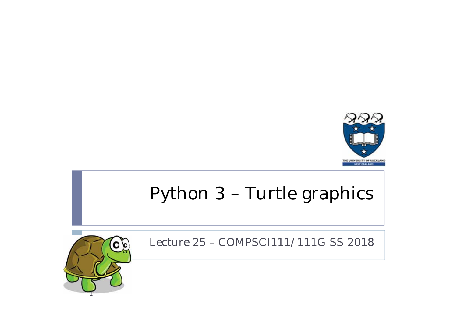

## Python 3 – Turtle graphics



Lecture 25 – COMPSCI111/111G SS 2018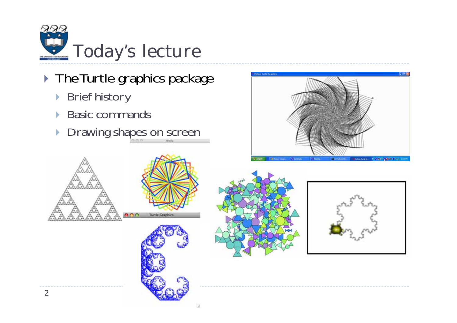

- **The Turtle graphics package** 
	- ▶ Brief history
	- $\mathbf{E}$ Basic commands
	- **Drawing shapes on screen**









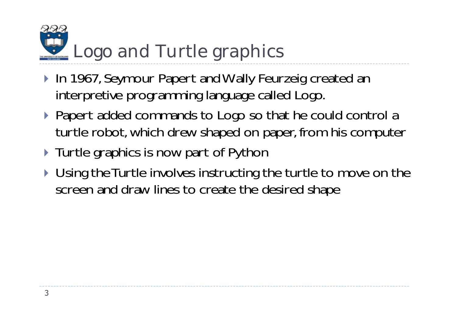## Logo and Turtle graphics

- ▶ In 1967, Seymour Papert and Wally Feurzeig created an interpretive programming language called Logo.
- ▶ Papert added commands to Logo so that he could control a turtle robot, which drew shaped on paper, from his computer
- **Turtle graphics is now part of Python**
- ▶ Using the Turtle involves instructing the turtle to move on the screen and draw lines to create the desired shape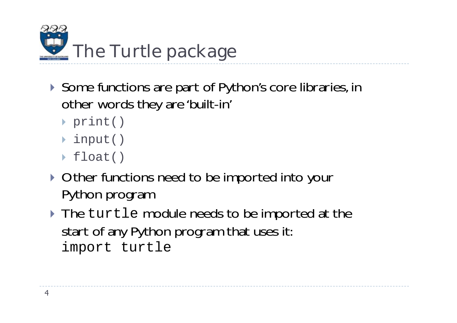

- ▶ Some functions are part of Python's core libraries, in other words they are 'built-in'
	- print()
	- input()
	- float()
- **Other functions need to be imported into your** Python program
- ▶ The turtle module needs to be imported at the start of any Python program that uses it: import turtle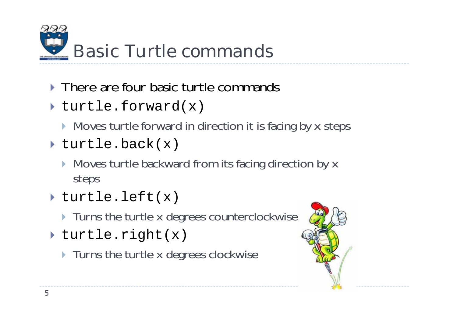

- **There are four basic turtle commands**
- turtle.forward(x)
	- **Moves turtle forward in direction it is facing by x steps**
- turtle.back(x)
	- **Moves turtle backward from its facing direction by x** steps
- turtle.left(x)
	- **Turns the turtle x degrees counterclockwise**
- turtle.right(x)
	- **Turns the turtle x degrees clockwise**

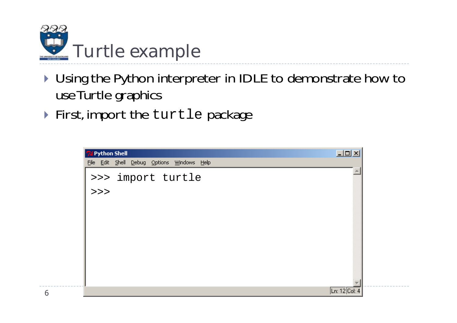

- ▶ Using the Python interpreter in IDLE to demonstrate how to use Turtle graphics
- ▶ First, import the turtle package

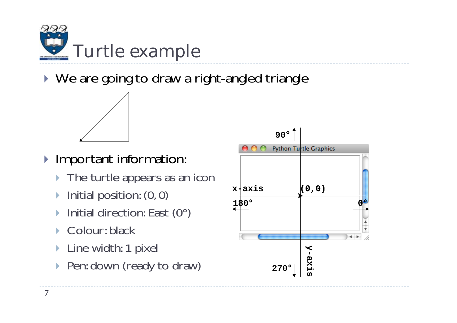

▶ We are going to draw a right-angled triangle



- **Important information:** 
	- **The turtle appears as an icon**
	- $\blacktriangleright$ Initial position: (0, 0)
	- $\blacktriangleright$ Initial direction: East (0°)
	- $\blacktriangleright$ Colour: black
	- $\blacktriangleright$ Line width: 1 pixel
	- $\blacktriangleright$ Pen: down (ready to draw)

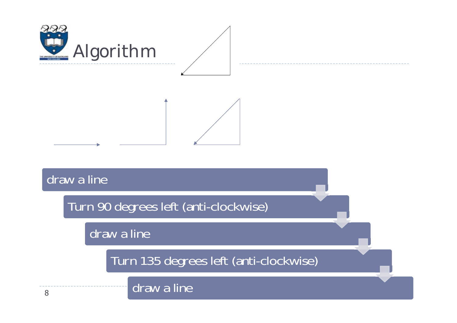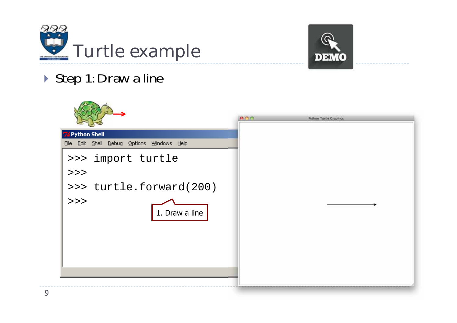



## ▶ Step 1: Draw a line

- 2

 $\sqrt{1-\frac{1}{2}}$ 

|                                            | ADA | <b>Python Turtle Graphics</b> |
|--------------------------------------------|-----|-------------------------------|
| Python Shell                               |     |                               |
| File Edit Shell Debug Options Windows Help |     |                               |
| >>> import turtle                          |     |                               |
| >>                                         |     |                               |
| >>> turtle.forward(200)                    |     |                               |
| >><br>1. Draw a line                       |     |                               |
|                                            |     |                               |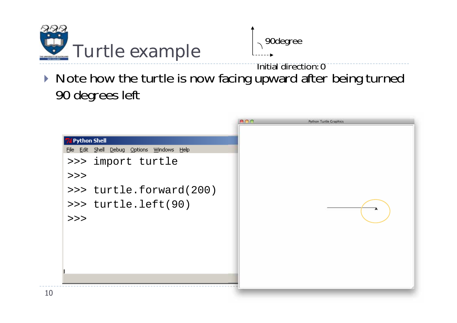

90degree

Initial direction: 0

▶ Note how the turtle is now facing upward after being turned 90 degrees left

|                                                                                           | 800<br><b>Python Turtle Graphics</b> |  |
|-------------------------------------------------------------------------------------------|--------------------------------------|--|
| <b>74 Python Shell</b><br>File Edit Shell Debug Options Windows Help<br>>>> import turtle |                                      |  |
| >><br>>>> turtle.forward(200)<br>>>> turtle.left(90)                                      |                                      |  |
| >>                                                                                        |                                      |  |
|                                                                                           |                                      |  |
|                                                                                           |                                      |  |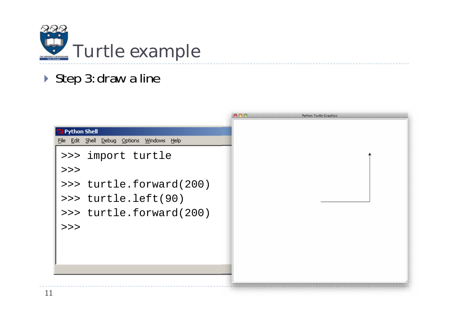

## ▶ Step 3: draw a line

|                                            | <b>BOO</b> | <b>Python Turtle Graphics</b> |
|--------------------------------------------|------------|-------------------------------|
| <b>Python Shell</b>                        |            |                               |
| File Edit Shell Debug Options Windows Help |            |                               |
| >>> import turtle                          |            |                               |
| >>                                         |            |                               |
| >>> turtle.forward(200)                    |            |                               |
| >>> turtle.left(90)                        |            |                               |
| >>> turtle.forward(200)                    |            |                               |
| >>                                         |            |                               |
|                                            |            |                               |
|                                            |            |                               |
|                                            |            |                               |
|                                            |            |                               |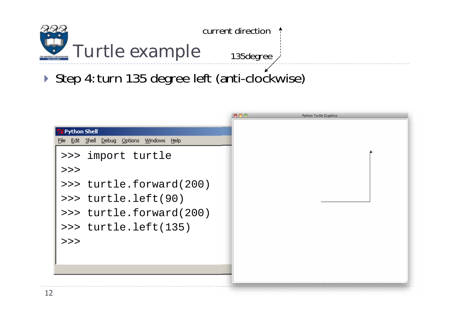

▶ Step 4: turn 135 degree left (anti-clockwise)

|                                            | $\bullet$ $\bullet$ $\bullet$ | <b>Python Turtle Graphics</b> |
|--------------------------------------------|-------------------------------|-------------------------------|
| Python Shell                               |                               |                               |
| File Edit Shell Debug Options Windows Help |                               |                               |
| >>> import turtle                          |                               |                               |
| >>                                         |                               |                               |
| >>> turtle.forward(200)                    |                               |                               |
| >>> turtle.left(90)                        |                               |                               |
| >>> turtle.forward(200)                    |                               |                               |
| >>> turtle.left(135)                       |                               |                               |
| >>                                         |                               |                               |
|                                            |                               |                               |
|                                            |                               |                               |
|                                            |                               |                               |
|                                            |                               |                               |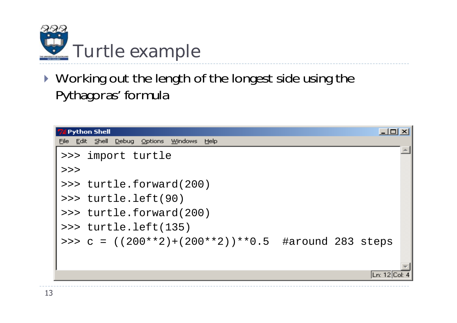

▶ Working out the length of the longest side using the Pythagoras' formula

| <b>Python Shell</b>                                                            |  |               |  |
|--------------------------------------------------------------------------------|--|---------------|--|
| Shell Debug Options<br><u>W</u> indows<br>– Help<br><b>Edit</b><br><b>Eile</b> |  |               |  |
| >>> import turtle                                                              |  |               |  |
| >>                                                                             |  |               |  |
| >>> turtle.forward(200)                                                        |  |               |  |
| $\rightarrow$ turtle.left(90)                                                  |  |               |  |
| >>> turtle.forward(200)                                                        |  |               |  |
| $\texttt{>>}$ turtle.left(135)                                                 |  |               |  |
| >>> c = $((200**2)+(200**2))**0.5$ #around 283 steps                           |  |               |  |
|                                                                                |  |               |  |
|                                                                                |  |               |  |
|                                                                                |  | Ln: 12 Col: 4 |  |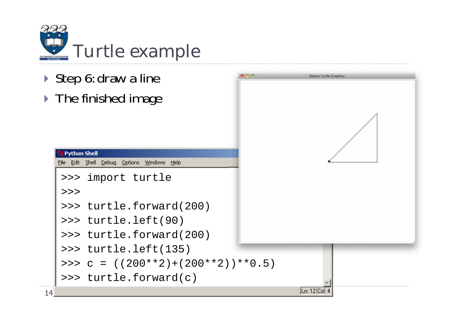

- ▶ Step 6: draw a line
- **The finished image**



14

>>>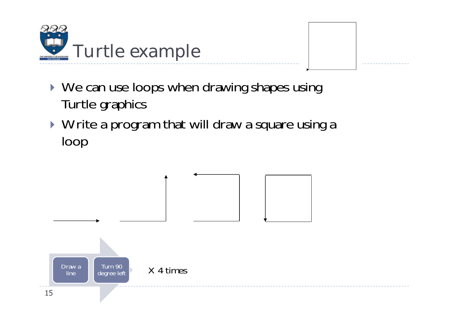

- ▶ We can use loops when drawing shapes using Turtle graphics
- ▶ Write a program that will draw a square using a loop

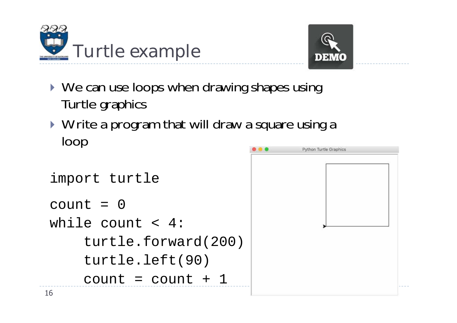



- ▶ We can use loops when drawing shapes using Turtle graphics
- ▶ Write a program that will draw a square using a loop

```
import turtle
count = 0
while count < 4:
    turtle.forward(200)
    turtle.left(90)
    count = count + 1
```
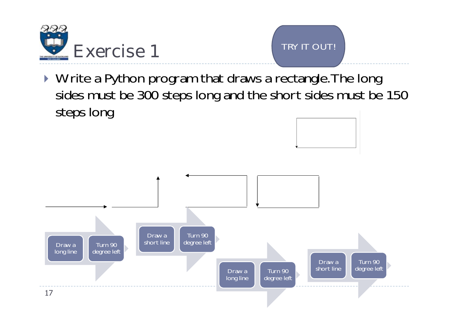



▶ Write a Python program that draws a rectangle. The long sides must be 300 steps long and the short sides must be 150 steps long

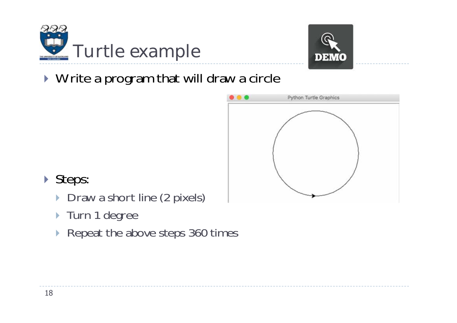



▶ Write a program that will draw a circle



- Steps:
	- $\blacktriangleright$ Draw a short line (2 pixels)
	- ▶ Turn 1 degree
	- ▶ Repeat the above steps 360 times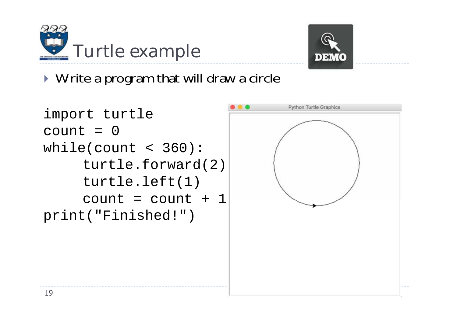



▶ Write a program that will draw a circle

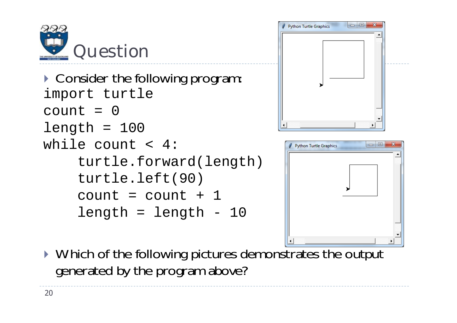

```
Consider the following program:
import turtle
count = 0length = 100while count < 4:turtle.forward(length)
    turtle.left(90)
    count = count + 1
    length = length - 10
```




▶ Which of the following pictures demonstrates the output generated by the program above?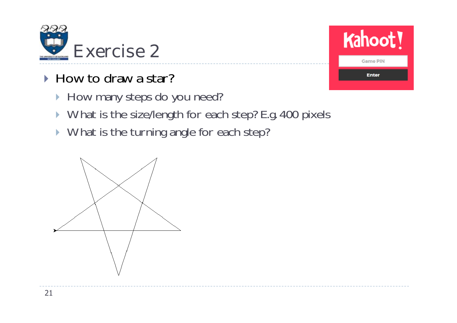

- ► How to draw a star?
	- How many steps do you need?
	- ▶ What is the size/length for each step? E.g. 400 pixels
	- ▶ What is the turning angle for each step?



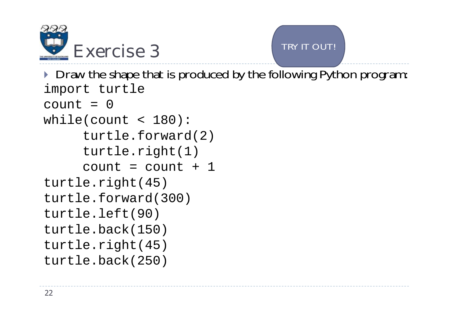



**Draw the shape that is produced by the following Python program:** import turtle  $count = 0$ 

while(count < 180): turtle.forward(2) turtle.right(1)  $count = count + 1$ turtle.right(45) turtle.forward(300) turtle.left(90) turtle.back(150) turtle.right(45) turtle.back(250)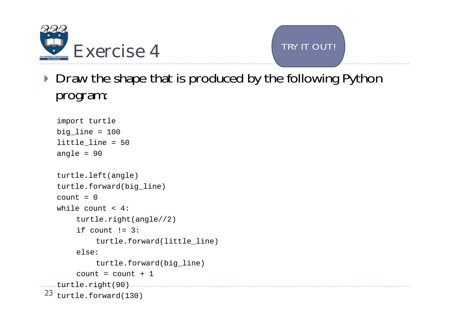



Draw the shape that is produced by the following Python program:

```
import turtle 
   big_line = 100
   little_line = 50
   angle = 90
   turtle.left(angle)
   turtle.forward(big_line)
   count = 0while count < 4:turtle.right(angle//2)
      if count != 3:
          turtle.forward(little_line)
      else:turtle.forward(big_line)
       count = count + 1
turtle.right(90)
23 turtle.forward(130)
```